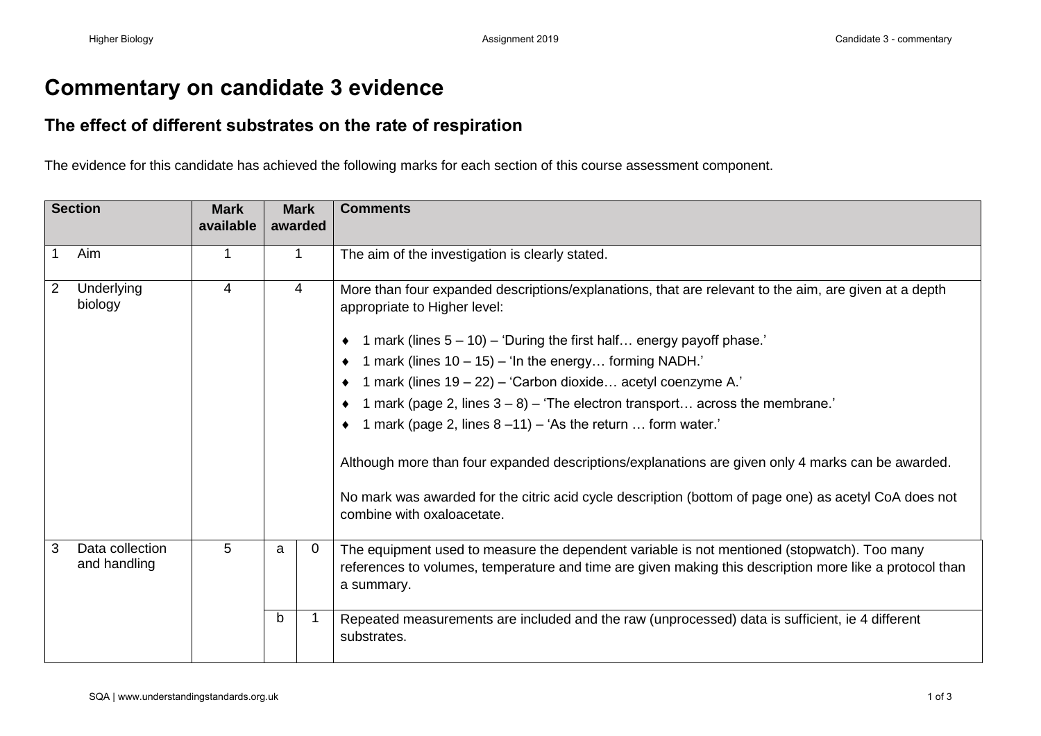## **Commentary on candidate 3 evidence**

## **The effect of different substrates on the rate of respiration**

The evidence for this candidate has achieved the following marks for each section of this course assessment component.

| <b>Section</b> |                                 | <b>Mark</b><br>available |   | <b>Mark</b><br>awarded | <b>Comments</b>                                                                                                                                                                                                      |
|----------------|---------------------------------|--------------------------|---|------------------------|----------------------------------------------------------------------------------------------------------------------------------------------------------------------------------------------------------------------|
|                | Aim                             | 1                        |   |                        | The aim of the investigation is clearly stated.                                                                                                                                                                      |
| $\overline{2}$ | Underlying<br>biology           | $\overline{4}$           |   | 4                      | More than four expanded descriptions/explanations, that are relevant to the aim, are given at a depth<br>appropriate to Higher level:                                                                                |
|                |                                 |                          |   |                        | $\bullet$ 1 mark (lines 5 – 10) – 'During the first half energy payoff phase.'                                                                                                                                       |
|                |                                 |                          |   |                        | 1 mark (lines $10 - 15$ ) – 'In the energy forming NADH.'                                                                                                                                                            |
|                |                                 |                          |   |                        | 1 mark (lines 19 - 22) - 'Carbon dioxide acetyl coenzyme A.'                                                                                                                                                         |
|                |                                 |                          |   |                        | 1 mark (page 2, lines $3 - 8$ ) – 'The electron transport across the membrane.'                                                                                                                                      |
|                |                                 |                          |   |                        | $\bullet$ 1 mark (page 2, lines 8 -11) - 'As the return  form water.'                                                                                                                                                |
|                |                                 |                          |   |                        | Although more than four expanded descriptions/explanations are given only 4 marks can be awarded.                                                                                                                    |
|                |                                 |                          |   |                        | No mark was awarded for the citric acid cycle description (bottom of page one) as acetyl CoA does not<br>combine with oxaloacetate.                                                                                  |
| 3              | Data collection<br>and handling | 5                        | a | 0                      | The equipment used to measure the dependent variable is not mentioned (stopwatch). Too many<br>references to volumes, temperature and time are given making this description more like a protocol than<br>a summary. |
|                |                                 |                          | b |                        | Repeated measurements are included and the raw (unprocessed) data is sufficient, ie 4 different<br>substrates.                                                                                                       |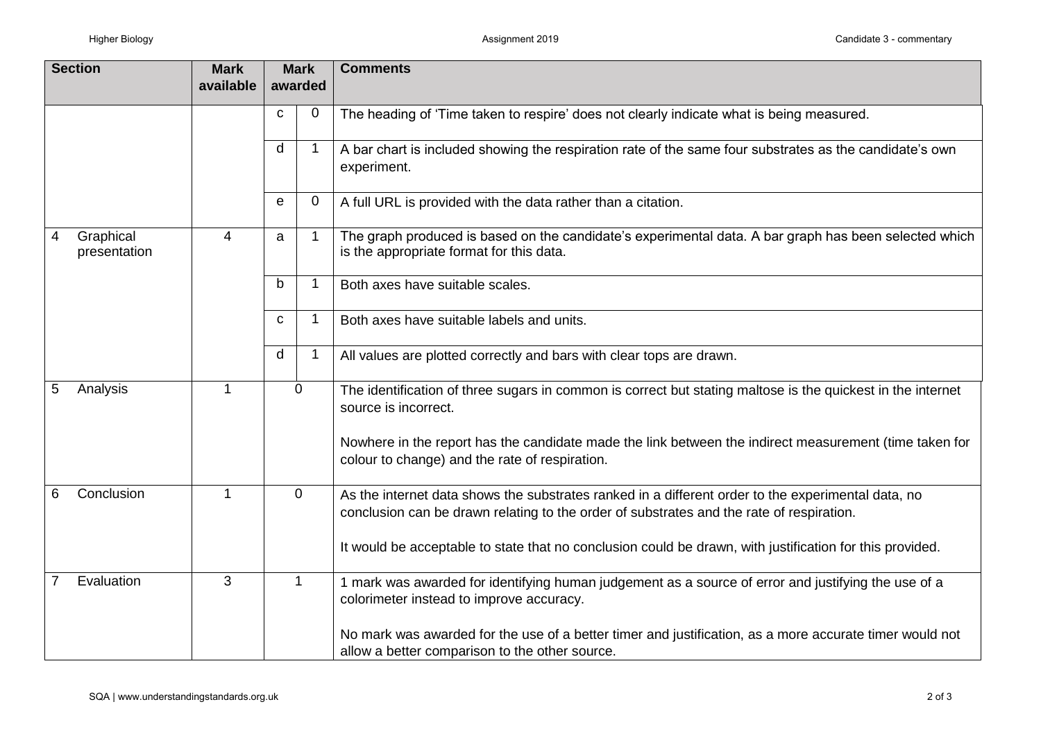| <b>Section</b>                 | <b>Mark</b> | <b>Mark</b>  |             | <b>Comments</b>                                                                                                                                                                                |
|--------------------------------|-------------|--------------|-------------|------------------------------------------------------------------------------------------------------------------------------------------------------------------------------------------------|
|                                | available   | awarded      |             |                                                                                                                                                                                                |
|                                |             | C            | 0           | The heading of 'Time taken to respire' does not clearly indicate what is being measured.                                                                                                       |
|                                |             | d            | -1          | A bar chart is included showing the respiration rate of the same four substrates as the candidate's own<br>experiment.                                                                         |
|                                |             | e            | 0           | A full URL is provided with the data rather than a citation.                                                                                                                                   |
| Graphical<br>4<br>presentation | 4           | a            | -1          | The graph produced is based on the candidate's experimental data. A bar graph has been selected which<br>is the appropriate format for this data.                                              |
|                                |             | b            | -1          | Both axes have suitable scales.                                                                                                                                                                |
|                                |             | C            | 1           | Both axes have suitable labels and units.                                                                                                                                                      |
|                                |             | d            | $\mathbf 1$ | All values are plotted correctly and bars with clear tops are drawn.                                                                                                                           |
| 5<br>Analysis                  | -1          | 0            |             | The identification of three sugars in common is correct but stating maltose is the quickest in the internet<br>source is incorrect.                                                            |
|                                |             |              |             | Nowhere in the report has the candidate made the link between the indirect measurement (time taken for<br>colour to change) and the rate of respiration.                                       |
| Conclusion<br>6                | -1          | 0            |             | As the internet data shows the substrates ranked in a different order to the experimental data, no<br>conclusion can be drawn relating to the order of substrates and the rate of respiration. |
|                                |             |              |             | It would be acceptable to state that no conclusion could be drawn, with justification for this provided.                                                                                       |
| Evaluation                     | 3           | $\mathbf{1}$ |             | 1 mark was awarded for identifying human judgement as a source of error and justifying the use of a<br>colorimeter instead to improve accuracy.                                                |
|                                |             |              |             | No mark was awarded for the use of a better timer and justification, as a more accurate timer would not<br>allow a better comparison to the other source.                                      |